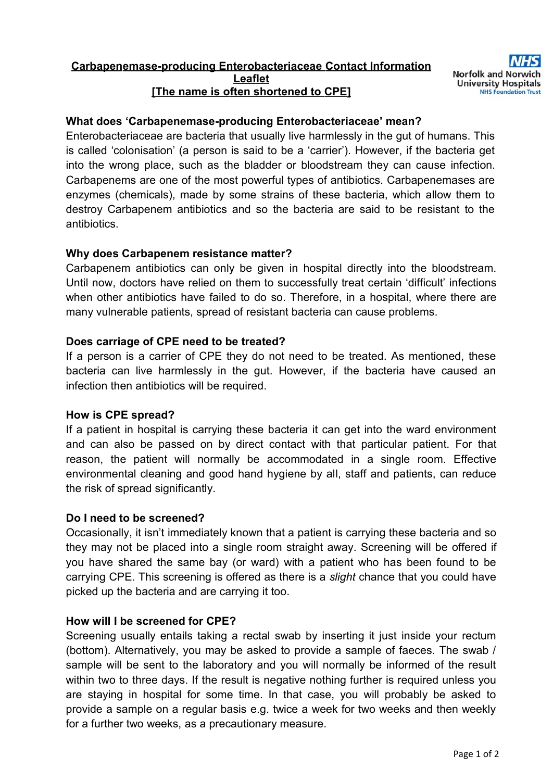### **Carbapenemase-producing Enterobacteriaceae Contact Information Le a flet The name is often shortened to CPE]**

# **What does 'Carbapenemase-producing Enterobacteriaceae' mean?**

Enterobacteriaceae are bacteria that usually live harmlessly in the gut of humans. This is called 'colonisation' (a person is said to be a 'carrier'). However, if the bacteria get into the wrong place, such as the bladder or bloodstream they can cause infection. Carbapenems are one of the most powerful types of antibiotics. Carbapenemases are enzymes (chemicals), made by some strains of these bacteria, which allow them to destroy Carbapenem antibiotics and so the bacteria are said to be resistant to the antibiotics.

### **Why does Carbapenem resistance matter?**

Carbapenem antibiotics can only be given in hospital directly into the bloodstream. Until now, doctors have relied on them to successfully treat certain 'difficult' infections when other antibiotics have failed to do so. Therefore, in a hospital, where there are many vulnerable patients, spread of resistant bacteria can cause problems.

### **Does carriage of CPE need to be treated?**

If a person is a carrier of CPE they do not need to be treated. As mentioned, these bacteria can live harmlessly in the gut. However, if the bacteria have caused an infection then antibiotics will be required.

### **How is CPE spread?**

If a patient in hospital is carrying these bacteria it can get into the ward environment and can also be passed on by direct contact with that particular patient. For that reason, the patient will normally be accommodated in a single room. Effective environmental cleaning and good hand hygiene by all, staff and patients, can reduce the risk of spread significantly.

### **Do I need to be screened?**

Occasionally, it isn't immediately known that a patient is carrying these bacteria and so they may not be placed into a single room straight away. Screening will be offered if you have shared the same bay (or ward) with a patient who has been found to be carrying CPE. This screening is offered as there is a *slight* chance that you could have picked up the bacteria and are carrying it too.

### **How will I be screened for CPE?**

Screening usually entails taking a rectal swab by inserting it just inside your rectum (bottom). Alternatively, you may be asked to provide a sample of faeces. The swab / sample will be sent to the laboratory and you will normally be informed of the result within two to three days. If the result is negative nothing further is required unless you are staying in hospital for some time. In that case, you will probably be asked to provide a sample on a regular basis e.g. twice a week for two weeks and then weekly for a further two weeks, as a precautionary measure.